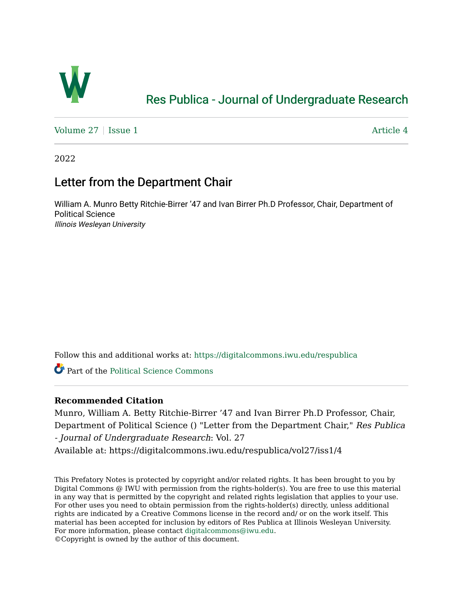

## [Res Publica - Journal of Undergraduate Research](https://digitalcommons.iwu.edu/respublica)

Volume  $27 \mid$  [Issue 1](https://digitalcommons.iwu.edu/respublica/vol27/iss1)  $\mid$  Article 4

2022

## Letter from the Department Chair

William A. Munro Betty Ritchie-Birrer '47 and Ivan Birrer Ph.D Professor, Chair, Department of Political Science Illinois Wesleyan University

Follow this and additional works at: [https://digitalcommons.iwu.edu/respublica](https://digitalcommons.iwu.edu/respublica?utm_source=digitalcommons.iwu.edu%2Frespublica%2Fvol27%2Fiss1%2F4&utm_medium=PDF&utm_campaign=PDFCoverPages) 

Part of the [Political Science Commons](http://network.bepress.com/hgg/discipline/386?utm_source=digitalcommons.iwu.edu%2Frespublica%2Fvol27%2Fiss1%2F4&utm_medium=PDF&utm_campaign=PDFCoverPages)

## **Recommended Citation**

Munro, William A. Betty Ritchie-Birrer '47 and Ivan Birrer Ph.D Professor, Chair, Department of Political Science () "Letter from the Department Chair," Res Publica - Journal of Undergraduate Research: Vol. 27 Available at: https://digitalcommons.iwu.edu/respublica/vol27/iss1/4

This Prefatory Notes is protected by copyright and/or related rights. It has been brought to you by Digital Commons @ IWU with permission from the rights-holder(s). You are free to use this material in any way that is permitted by the copyright and related rights legislation that applies to your use. For other uses you need to obtain permission from the rights-holder(s) directly, unless additional rights are indicated by a Creative Commons license in the record and/ or on the work itself. This material has been accepted for inclusion by editors of Res Publica at Illinois Wesleyan University. For more information, please contact [digitalcommons@iwu.edu](mailto:digitalcommons@iwu.edu). ©Copyright is owned by the author of this document.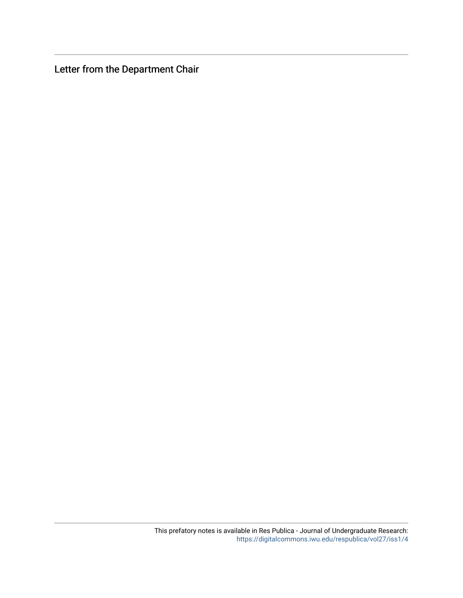Letter from the Department Chair